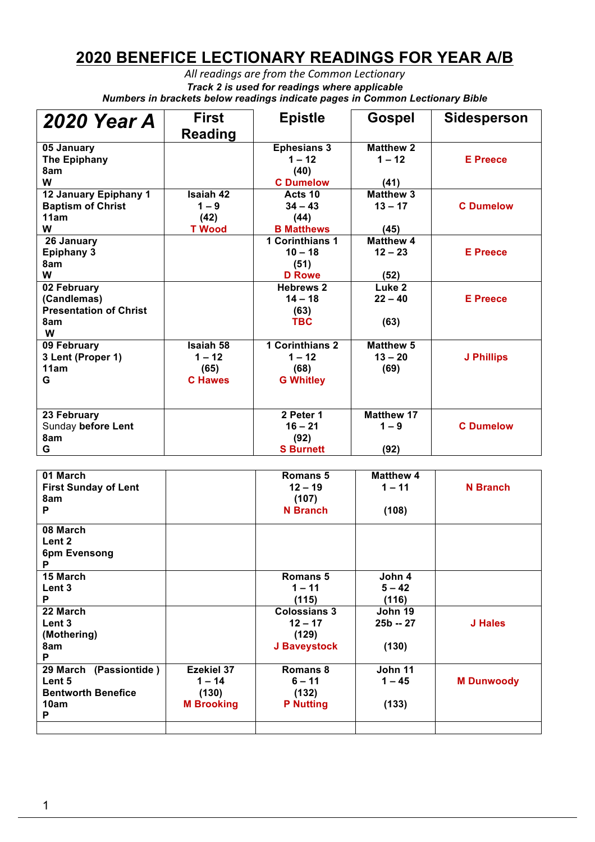## **2020 BENEFICE LECTIONARY READINGS FOR YEAR A/B**

All readings are from the Common Lectionary *Track 2 is used for readings where applicable Numbers in brackets below readings indicate pages in Common Lectionary Bible*

| <b>2020 Year A</b>                                                      | <b>First</b><br><b>Reading</b>                         | <b>Epistle</b>                                                 | Gospel                                | <b>Sidesperson</b> |
|-------------------------------------------------------------------------|--------------------------------------------------------|----------------------------------------------------------------|---------------------------------------|--------------------|
| 05 January<br><b>The Epiphany</b><br>8am<br>W                           |                                                        | <b>Ephesians 3</b><br>$1 - 12$<br>(40)<br><b>C</b> Dumelow     | <b>Matthew 2</b><br>$1 - 12$<br>(41)  | <b>E</b> Preece    |
| 12 January Epiphany 1<br><b>Baptism of Christ</b><br>11am<br>W          | <b>Isaiah 42</b><br>$1 - 9$<br>(42)<br><b>T</b> Wood   | Acts 10<br>$34 - 43$<br>(44)<br><b>B</b> Matthews              | <b>Matthew 3</b><br>$13 - 17$<br>(45) | <b>C</b> Dumelow   |
| 26 January<br><b>Epiphany 3</b><br>8am<br>W                             |                                                        | <b>1 Corinthians 1</b><br>$10 - 18$<br>(51)<br><b>D</b> Rowe   | <b>Matthew 4</b><br>$12 - 23$<br>(52) | <b>E</b> Preece    |
| 02 February<br>(Candlemas)<br><b>Presentation of Christ</b><br>8am<br>W |                                                        | <b>Hebrews 2</b><br>$14 - 18$<br>(63)<br><b>TBC</b>            | Luke 2<br>$22 - 40$<br>(63)           | <b>E</b> Preece    |
| 09 February<br>3 Lent (Proper 1)<br>11am<br>G                           | <b>Isaiah 58</b><br>$1 - 12$<br>(65)<br><b>C</b> Hawes | <b>1 Corinthians 2</b><br>$1 - 12$<br>(68)<br><b>G Whitley</b> | <b>Matthew 5</b><br>$13 - 20$<br>(69) | <b>J Phillips</b>  |
| 23 February<br>Sunday before Lent<br>8am<br>G                           |                                                        | 2 Peter 1<br>$16 - 21$<br>(92)<br><b>S</b> Burnett             | <b>Matthew 17</b><br>$1 - 9$<br>(92)  | <b>C</b> Dumelow   |

| 01 March<br><b>First Sunday of Lent</b><br>8am<br>P |                   | Romans 5<br>$12 - 19$<br>(107)<br><b>N</b> Branch | <b>Matthew 4</b><br>$1 - 11$<br>(108) | N Branch          |
|-----------------------------------------------------|-------------------|---------------------------------------------------|---------------------------------------|-------------------|
| 08 March                                            |                   |                                                   |                                       |                   |
| Lent 2                                              |                   |                                                   |                                       |                   |
| 6pm Evensong<br>P                                   |                   |                                                   |                                       |                   |
| 15 March                                            |                   | Romans 5                                          | John 4                                |                   |
| Lent <sub>3</sub>                                   |                   | $1 - 11$                                          | $5 - 42$                              |                   |
| P                                                   |                   | (115)                                             | (116)                                 |                   |
| 22 March                                            |                   | <b>Colossians 3</b>                               | John 19                               |                   |
| Lent <sub>3</sub>                                   |                   | $12 - 17$                                         | $25b - 27$                            | J Hales           |
| (Mothering)                                         |                   | (129)                                             |                                       |                   |
| 8am                                                 |                   | J Baveystock                                      | (130)                                 |                   |
| P                                                   |                   |                                                   |                                       |                   |
| 29 March (Passiontide)                              | Ezekiel 37        | Romans 8                                          | John 11                               |                   |
| Lent 5                                              | $1 - 14$          | $6 - 11$                                          | $1 - 45$                              | <b>M Dunwoody</b> |
| <b>Bentworth Benefice</b>                           | (130)             | (132)                                             |                                       |                   |
| 10am                                                | <b>M</b> Brooking | <b>P</b> Nutting                                  | (133)                                 |                   |
| P                                                   |                   |                                                   |                                       |                   |
|                                                     |                   |                                                   |                                       |                   |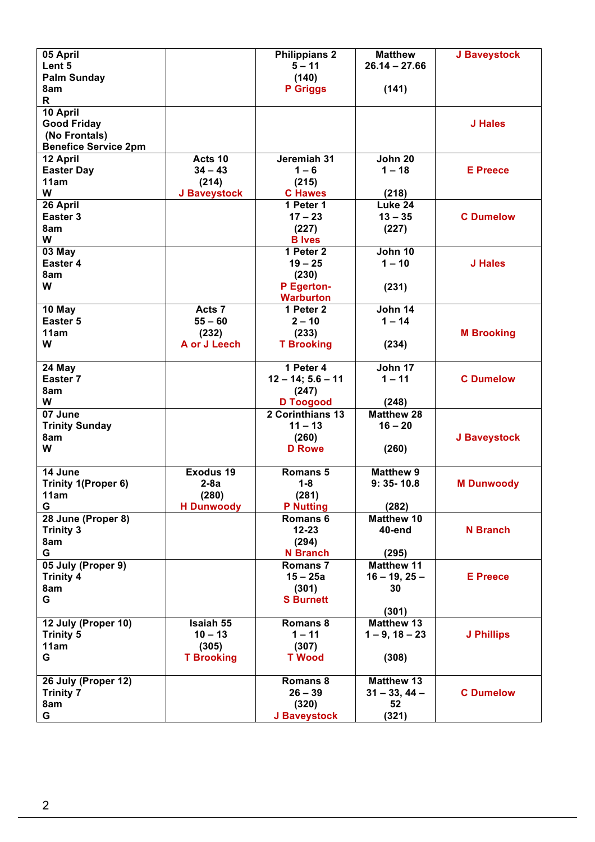| <b>Palm Sunday</b><br>(140)<br>8am<br><b>P</b> Griggs<br>(141)<br>R<br>10 April<br><b>Good Friday</b><br>J Hales<br>(No Frontals)<br><b>Benefice Service 2pm</b><br>Jeremiah 31<br>$\overline{John}$ 20<br>Acts 10<br>12 April<br>$1 - 18$<br><b>Easter Day</b><br>$34 - 43$<br>$1 - 6$<br><b>E</b> Preece<br>11am<br>(214)<br>(215)<br>W<br>J Baveystock<br><b>C</b> Hawes<br>(218)<br>26 April<br>Luke 24<br>1 Peter 1<br>Easter <sub>3</sub><br><b>C</b> Dumelow<br>$17 - 23$<br>$13 - 35$<br>8am<br>(227)<br>(227)<br>W<br><b>B</b> Ives<br>1 Peter 2<br>John 10<br>03 May<br>Easter 4<br>$1 - 10$<br>$19 - 25$<br><b>J</b> Hales<br>8am<br>(230)<br>W<br>P Egerton-<br>(231)<br><b>Warburton</b><br>John 14<br>10 May<br>Acts 7<br>1 Peter 2<br>Easter 5<br>$55 - 60$<br>$1 - 14$<br>$2 - 10$<br>11am<br>(232)<br>(233)<br><b>M</b> Brooking<br>W<br>A or J Leech<br><b>T Brooking</b><br>(234)<br>1 Peter 4<br>John 17<br>24 May<br>$1 - 11$<br><b>C</b> Dumelow<br>Easter 7<br>$12 - 14$ ; $5.6 - 11$<br>8am<br>(247)<br>W<br><b>D</b> Toogood<br>(248)<br><b>Matthew 28</b><br>2 Corinthians 13<br>07 June<br><b>Trinity Sunday</b><br>$11 - 13$<br>$16 - 20$<br>(260)<br>8am<br>J Baveystock<br>W<br><b>D</b> Rowe<br>(260)<br>14 June<br><b>Exodus 19</b><br><b>Matthew 9</b><br><b>Romans 5</b><br>Trinity 1(Proper 6)<br>$2-8a$<br>$1 - 8$<br>$9:35-10.8$<br><b>M Dunwoody</b><br>(281)<br>(280)<br>11am<br>G<br><b>H</b> Dunwoody<br><b>P</b> Nutting<br>(282)<br>28 June (Proper 8)<br><b>Matthew 10</b><br>Romans <sub>6</sub><br>$12 - 23$<br><b>Trinity 3</b><br>40-end<br><b>N</b> Branch<br>(294)<br>8am<br>G<br><b>N</b> Branch<br>(295)<br>05 July (Proper 9)<br>Romans <sub>7</sub><br><b>Matthew 11</b><br><b>Trinity 4</b><br>$15 - 25a$<br>$16 - 19, 25 -$<br><b>E</b> Preece<br>8am<br>(301)<br>30<br>G<br><b>S</b> Burnett<br>(301)<br>12 July (Proper 10)<br>Isaiah 55<br>Romans 8<br><b>Matthew 13</b><br>$1 - 11$<br><b>Trinity 5</b><br>$10 - 13$<br>$1 - 9$ , $18 - 23$<br><b>J Phillips</b><br>11am<br>(305)<br>(307)<br>G<br><b>T Brooking</b><br><b>T</b> Wood<br>(308)<br>26 July (Proper 12)<br>Romans 8<br><b>Matthew 13</b><br>$26 - 39$<br><b>C</b> Dumelow<br><b>Trinity 7</b><br>$31 - 33, 44 -$<br>(320)<br>8am<br>52<br>G<br>(321)<br>J Baveystock | 05 April | <b>Philippians 2</b> | <b>Matthew</b>  | J Baveystock |
|------------------------------------------------------------------------------------------------------------------------------------------------------------------------------------------------------------------------------------------------------------------------------------------------------------------------------------------------------------------------------------------------------------------------------------------------------------------------------------------------------------------------------------------------------------------------------------------------------------------------------------------------------------------------------------------------------------------------------------------------------------------------------------------------------------------------------------------------------------------------------------------------------------------------------------------------------------------------------------------------------------------------------------------------------------------------------------------------------------------------------------------------------------------------------------------------------------------------------------------------------------------------------------------------------------------------------------------------------------------------------------------------------------------------------------------------------------------------------------------------------------------------------------------------------------------------------------------------------------------------------------------------------------------------------------------------------------------------------------------------------------------------------------------------------------------------------------------------------------------------------------------------------------------------------------------------------------------------------------------------------------------------------------------------------------------------------------------------------------------------------------------------------------------------------------------------------------------------------------------------------------------------------------------------|----------|----------------------|-----------------|--------------|
|                                                                                                                                                                                                                                                                                                                                                                                                                                                                                                                                                                                                                                                                                                                                                                                                                                                                                                                                                                                                                                                                                                                                                                                                                                                                                                                                                                                                                                                                                                                                                                                                                                                                                                                                                                                                                                                                                                                                                                                                                                                                                                                                                                                                                                                                                                | Lent 5   | $5 - 11$             | $26.14 - 27.66$ |              |
|                                                                                                                                                                                                                                                                                                                                                                                                                                                                                                                                                                                                                                                                                                                                                                                                                                                                                                                                                                                                                                                                                                                                                                                                                                                                                                                                                                                                                                                                                                                                                                                                                                                                                                                                                                                                                                                                                                                                                                                                                                                                                                                                                                                                                                                                                                |          |                      |                 |              |
|                                                                                                                                                                                                                                                                                                                                                                                                                                                                                                                                                                                                                                                                                                                                                                                                                                                                                                                                                                                                                                                                                                                                                                                                                                                                                                                                                                                                                                                                                                                                                                                                                                                                                                                                                                                                                                                                                                                                                                                                                                                                                                                                                                                                                                                                                                |          |                      |                 |              |
|                                                                                                                                                                                                                                                                                                                                                                                                                                                                                                                                                                                                                                                                                                                                                                                                                                                                                                                                                                                                                                                                                                                                                                                                                                                                                                                                                                                                                                                                                                                                                                                                                                                                                                                                                                                                                                                                                                                                                                                                                                                                                                                                                                                                                                                                                                |          |                      |                 |              |
|                                                                                                                                                                                                                                                                                                                                                                                                                                                                                                                                                                                                                                                                                                                                                                                                                                                                                                                                                                                                                                                                                                                                                                                                                                                                                                                                                                                                                                                                                                                                                                                                                                                                                                                                                                                                                                                                                                                                                                                                                                                                                                                                                                                                                                                                                                |          |                      |                 |              |
|                                                                                                                                                                                                                                                                                                                                                                                                                                                                                                                                                                                                                                                                                                                                                                                                                                                                                                                                                                                                                                                                                                                                                                                                                                                                                                                                                                                                                                                                                                                                                                                                                                                                                                                                                                                                                                                                                                                                                                                                                                                                                                                                                                                                                                                                                                |          |                      |                 |              |
|                                                                                                                                                                                                                                                                                                                                                                                                                                                                                                                                                                                                                                                                                                                                                                                                                                                                                                                                                                                                                                                                                                                                                                                                                                                                                                                                                                                                                                                                                                                                                                                                                                                                                                                                                                                                                                                                                                                                                                                                                                                                                                                                                                                                                                                                                                |          |                      |                 |              |
|                                                                                                                                                                                                                                                                                                                                                                                                                                                                                                                                                                                                                                                                                                                                                                                                                                                                                                                                                                                                                                                                                                                                                                                                                                                                                                                                                                                                                                                                                                                                                                                                                                                                                                                                                                                                                                                                                                                                                                                                                                                                                                                                                                                                                                                                                                |          |                      |                 |              |
|                                                                                                                                                                                                                                                                                                                                                                                                                                                                                                                                                                                                                                                                                                                                                                                                                                                                                                                                                                                                                                                                                                                                                                                                                                                                                                                                                                                                                                                                                                                                                                                                                                                                                                                                                                                                                                                                                                                                                                                                                                                                                                                                                                                                                                                                                                |          |                      |                 |              |
|                                                                                                                                                                                                                                                                                                                                                                                                                                                                                                                                                                                                                                                                                                                                                                                                                                                                                                                                                                                                                                                                                                                                                                                                                                                                                                                                                                                                                                                                                                                                                                                                                                                                                                                                                                                                                                                                                                                                                                                                                                                                                                                                                                                                                                                                                                |          |                      |                 |              |
|                                                                                                                                                                                                                                                                                                                                                                                                                                                                                                                                                                                                                                                                                                                                                                                                                                                                                                                                                                                                                                                                                                                                                                                                                                                                                                                                                                                                                                                                                                                                                                                                                                                                                                                                                                                                                                                                                                                                                                                                                                                                                                                                                                                                                                                                                                |          |                      |                 |              |
|                                                                                                                                                                                                                                                                                                                                                                                                                                                                                                                                                                                                                                                                                                                                                                                                                                                                                                                                                                                                                                                                                                                                                                                                                                                                                                                                                                                                                                                                                                                                                                                                                                                                                                                                                                                                                                                                                                                                                                                                                                                                                                                                                                                                                                                                                                |          |                      |                 |              |
|                                                                                                                                                                                                                                                                                                                                                                                                                                                                                                                                                                                                                                                                                                                                                                                                                                                                                                                                                                                                                                                                                                                                                                                                                                                                                                                                                                                                                                                                                                                                                                                                                                                                                                                                                                                                                                                                                                                                                                                                                                                                                                                                                                                                                                                                                                |          |                      |                 |              |
|                                                                                                                                                                                                                                                                                                                                                                                                                                                                                                                                                                                                                                                                                                                                                                                                                                                                                                                                                                                                                                                                                                                                                                                                                                                                                                                                                                                                                                                                                                                                                                                                                                                                                                                                                                                                                                                                                                                                                                                                                                                                                                                                                                                                                                                                                                |          |                      |                 |              |
|                                                                                                                                                                                                                                                                                                                                                                                                                                                                                                                                                                                                                                                                                                                                                                                                                                                                                                                                                                                                                                                                                                                                                                                                                                                                                                                                                                                                                                                                                                                                                                                                                                                                                                                                                                                                                                                                                                                                                                                                                                                                                                                                                                                                                                                                                                |          |                      |                 |              |
|                                                                                                                                                                                                                                                                                                                                                                                                                                                                                                                                                                                                                                                                                                                                                                                                                                                                                                                                                                                                                                                                                                                                                                                                                                                                                                                                                                                                                                                                                                                                                                                                                                                                                                                                                                                                                                                                                                                                                                                                                                                                                                                                                                                                                                                                                                |          |                      |                 |              |
|                                                                                                                                                                                                                                                                                                                                                                                                                                                                                                                                                                                                                                                                                                                                                                                                                                                                                                                                                                                                                                                                                                                                                                                                                                                                                                                                                                                                                                                                                                                                                                                                                                                                                                                                                                                                                                                                                                                                                                                                                                                                                                                                                                                                                                                                                                |          |                      |                 |              |
|                                                                                                                                                                                                                                                                                                                                                                                                                                                                                                                                                                                                                                                                                                                                                                                                                                                                                                                                                                                                                                                                                                                                                                                                                                                                                                                                                                                                                                                                                                                                                                                                                                                                                                                                                                                                                                                                                                                                                                                                                                                                                                                                                                                                                                                                                                |          |                      |                 |              |
|                                                                                                                                                                                                                                                                                                                                                                                                                                                                                                                                                                                                                                                                                                                                                                                                                                                                                                                                                                                                                                                                                                                                                                                                                                                                                                                                                                                                                                                                                                                                                                                                                                                                                                                                                                                                                                                                                                                                                                                                                                                                                                                                                                                                                                                                                                |          |                      |                 |              |
|                                                                                                                                                                                                                                                                                                                                                                                                                                                                                                                                                                                                                                                                                                                                                                                                                                                                                                                                                                                                                                                                                                                                                                                                                                                                                                                                                                                                                                                                                                                                                                                                                                                                                                                                                                                                                                                                                                                                                                                                                                                                                                                                                                                                                                                                                                |          |                      |                 |              |
|                                                                                                                                                                                                                                                                                                                                                                                                                                                                                                                                                                                                                                                                                                                                                                                                                                                                                                                                                                                                                                                                                                                                                                                                                                                                                                                                                                                                                                                                                                                                                                                                                                                                                                                                                                                                                                                                                                                                                                                                                                                                                                                                                                                                                                                                                                |          |                      |                 |              |
|                                                                                                                                                                                                                                                                                                                                                                                                                                                                                                                                                                                                                                                                                                                                                                                                                                                                                                                                                                                                                                                                                                                                                                                                                                                                                                                                                                                                                                                                                                                                                                                                                                                                                                                                                                                                                                                                                                                                                                                                                                                                                                                                                                                                                                                                                                |          |                      |                 |              |
|                                                                                                                                                                                                                                                                                                                                                                                                                                                                                                                                                                                                                                                                                                                                                                                                                                                                                                                                                                                                                                                                                                                                                                                                                                                                                                                                                                                                                                                                                                                                                                                                                                                                                                                                                                                                                                                                                                                                                                                                                                                                                                                                                                                                                                                                                                |          |                      |                 |              |
|                                                                                                                                                                                                                                                                                                                                                                                                                                                                                                                                                                                                                                                                                                                                                                                                                                                                                                                                                                                                                                                                                                                                                                                                                                                                                                                                                                                                                                                                                                                                                                                                                                                                                                                                                                                                                                                                                                                                                                                                                                                                                                                                                                                                                                                                                                |          |                      |                 |              |
|                                                                                                                                                                                                                                                                                                                                                                                                                                                                                                                                                                                                                                                                                                                                                                                                                                                                                                                                                                                                                                                                                                                                                                                                                                                                                                                                                                                                                                                                                                                                                                                                                                                                                                                                                                                                                                                                                                                                                                                                                                                                                                                                                                                                                                                                                                |          |                      |                 |              |
|                                                                                                                                                                                                                                                                                                                                                                                                                                                                                                                                                                                                                                                                                                                                                                                                                                                                                                                                                                                                                                                                                                                                                                                                                                                                                                                                                                                                                                                                                                                                                                                                                                                                                                                                                                                                                                                                                                                                                                                                                                                                                                                                                                                                                                                                                                |          |                      |                 |              |
|                                                                                                                                                                                                                                                                                                                                                                                                                                                                                                                                                                                                                                                                                                                                                                                                                                                                                                                                                                                                                                                                                                                                                                                                                                                                                                                                                                                                                                                                                                                                                                                                                                                                                                                                                                                                                                                                                                                                                                                                                                                                                                                                                                                                                                                                                                |          |                      |                 |              |
|                                                                                                                                                                                                                                                                                                                                                                                                                                                                                                                                                                                                                                                                                                                                                                                                                                                                                                                                                                                                                                                                                                                                                                                                                                                                                                                                                                                                                                                                                                                                                                                                                                                                                                                                                                                                                                                                                                                                                                                                                                                                                                                                                                                                                                                                                                |          |                      |                 |              |
|                                                                                                                                                                                                                                                                                                                                                                                                                                                                                                                                                                                                                                                                                                                                                                                                                                                                                                                                                                                                                                                                                                                                                                                                                                                                                                                                                                                                                                                                                                                                                                                                                                                                                                                                                                                                                                                                                                                                                                                                                                                                                                                                                                                                                                                                                                |          |                      |                 |              |
|                                                                                                                                                                                                                                                                                                                                                                                                                                                                                                                                                                                                                                                                                                                                                                                                                                                                                                                                                                                                                                                                                                                                                                                                                                                                                                                                                                                                                                                                                                                                                                                                                                                                                                                                                                                                                                                                                                                                                                                                                                                                                                                                                                                                                                                                                                |          |                      |                 |              |
|                                                                                                                                                                                                                                                                                                                                                                                                                                                                                                                                                                                                                                                                                                                                                                                                                                                                                                                                                                                                                                                                                                                                                                                                                                                                                                                                                                                                                                                                                                                                                                                                                                                                                                                                                                                                                                                                                                                                                                                                                                                                                                                                                                                                                                                                                                |          |                      |                 |              |
|                                                                                                                                                                                                                                                                                                                                                                                                                                                                                                                                                                                                                                                                                                                                                                                                                                                                                                                                                                                                                                                                                                                                                                                                                                                                                                                                                                                                                                                                                                                                                                                                                                                                                                                                                                                                                                                                                                                                                                                                                                                                                                                                                                                                                                                                                                |          |                      |                 |              |
|                                                                                                                                                                                                                                                                                                                                                                                                                                                                                                                                                                                                                                                                                                                                                                                                                                                                                                                                                                                                                                                                                                                                                                                                                                                                                                                                                                                                                                                                                                                                                                                                                                                                                                                                                                                                                                                                                                                                                                                                                                                                                                                                                                                                                                                                                                |          |                      |                 |              |
|                                                                                                                                                                                                                                                                                                                                                                                                                                                                                                                                                                                                                                                                                                                                                                                                                                                                                                                                                                                                                                                                                                                                                                                                                                                                                                                                                                                                                                                                                                                                                                                                                                                                                                                                                                                                                                                                                                                                                                                                                                                                                                                                                                                                                                                                                                |          |                      |                 |              |
|                                                                                                                                                                                                                                                                                                                                                                                                                                                                                                                                                                                                                                                                                                                                                                                                                                                                                                                                                                                                                                                                                                                                                                                                                                                                                                                                                                                                                                                                                                                                                                                                                                                                                                                                                                                                                                                                                                                                                                                                                                                                                                                                                                                                                                                                                                |          |                      |                 |              |
|                                                                                                                                                                                                                                                                                                                                                                                                                                                                                                                                                                                                                                                                                                                                                                                                                                                                                                                                                                                                                                                                                                                                                                                                                                                                                                                                                                                                                                                                                                                                                                                                                                                                                                                                                                                                                                                                                                                                                                                                                                                                                                                                                                                                                                                                                                |          |                      |                 |              |
|                                                                                                                                                                                                                                                                                                                                                                                                                                                                                                                                                                                                                                                                                                                                                                                                                                                                                                                                                                                                                                                                                                                                                                                                                                                                                                                                                                                                                                                                                                                                                                                                                                                                                                                                                                                                                                                                                                                                                                                                                                                                                                                                                                                                                                                                                                |          |                      |                 |              |
|                                                                                                                                                                                                                                                                                                                                                                                                                                                                                                                                                                                                                                                                                                                                                                                                                                                                                                                                                                                                                                                                                                                                                                                                                                                                                                                                                                                                                                                                                                                                                                                                                                                                                                                                                                                                                                                                                                                                                                                                                                                                                                                                                                                                                                                                                                |          |                      |                 |              |
|                                                                                                                                                                                                                                                                                                                                                                                                                                                                                                                                                                                                                                                                                                                                                                                                                                                                                                                                                                                                                                                                                                                                                                                                                                                                                                                                                                                                                                                                                                                                                                                                                                                                                                                                                                                                                                                                                                                                                                                                                                                                                                                                                                                                                                                                                                |          |                      |                 |              |
|                                                                                                                                                                                                                                                                                                                                                                                                                                                                                                                                                                                                                                                                                                                                                                                                                                                                                                                                                                                                                                                                                                                                                                                                                                                                                                                                                                                                                                                                                                                                                                                                                                                                                                                                                                                                                                                                                                                                                                                                                                                                                                                                                                                                                                                                                                |          |                      |                 |              |
|                                                                                                                                                                                                                                                                                                                                                                                                                                                                                                                                                                                                                                                                                                                                                                                                                                                                                                                                                                                                                                                                                                                                                                                                                                                                                                                                                                                                                                                                                                                                                                                                                                                                                                                                                                                                                                                                                                                                                                                                                                                                                                                                                                                                                                                                                                |          |                      |                 |              |
|                                                                                                                                                                                                                                                                                                                                                                                                                                                                                                                                                                                                                                                                                                                                                                                                                                                                                                                                                                                                                                                                                                                                                                                                                                                                                                                                                                                                                                                                                                                                                                                                                                                                                                                                                                                                                                                                                                                                                                                                                                                                                                                                                                                                                                                                                                |          |                      |                 |              |
|                                                                                                                                                                                                                                                                                                                                                                                                                                                                                                                                                                                                                                                                                                                                                                                                                                                                                                                                                                                                                                                                                                                                                                                                                                                                                                                                                                                                                                                                                                                                                                                                                                                                                                                                                                                                                                                                                                                                                                                                                                                                                                                                                                                                                                                                                                |          |                      |                 |              |
|                                                                                                                                                                                                                                                                                                                                                                                                                                                                                                                                                                                                                                                                                                                                                                                                                                                                                                                                                                                                                                                                                                                                                                                                                                                                                                                                                                                                                                                                                                                                                                                                                                                                                                                                                                                                                                                                                                                                                                                                                                                                                                                                                                                                                                                                                                |          |                      |                 |              |
|                                                                                                                                                                                                                                                                                                                                                                                                                                                                                                                                                                                                                                                                                                                                                                                                                                                                                                                                                                                                                                                                                                                                                                                                                                                                                                                                                                                                                                                                                                                                                                                                                                                                                                                                                                                                                                                                                                                                                                                                                                                                                                                                                                                                                                                                                                |          |                      |                 |              |
|                                                                                                                                                                                                                                                                                                                                                                                                                                                                                                                                                                                                                                                                                                                                                                                                                                                                                                                                                                                                                                                                                                                                                                                                                                                                                                                                                                                                                                                                                                                                                                                                                                                                                                                                                                                                                                                                                                                                                                                                                                                                                                                                                                                                                                                                                                |          |                      |                 |              |
|                                                                                                                                                                                                                                                                                                                                                                                                                                                                                                                                                                                                                                                                                                                                                                                                                                                                                                                                                                                                                                                                                                                                                                                                                                                                                                                                                                                                                                                                                                                                                                                                                                                                                                                                                                                                                                                                                                                                                                                                                                                                                                                                                                                                                                                                                                |          |                      |                 |              |
|                                                                                                                                                                                                                                                                                                                                                                                                                                                                                                                                                                                                                                                                                                                                                                                                                                                                                                                                                                                                                                                                                                                                                                                                                                                                                                                                                                                                                                                                                                                                                                                                                                                                                                                                                                                                                                                                                                                                                                                                                                                                                                                                                                                                                                                                                                |          |                      |                 |              |
|                                                                                                                                                                                                                                                                                                                                                                                                                                                                                                                                                                                                                                                                                                                                                                                                                                                                                                                                                                                                                                                                                                                                                                                                                                                                                                                                                                                                                                                                                                                                                                                                                                                                                                                                                                                                                                                                                                                                                                                                                                                                                                                                                                                                                                                                                                |          |                      |                 |              |
|                                                                                                                                                                                                                                                                                                                                                                                                                                                                                                                                                                                                                                                                                                                                                                                                                                                                                                                                                                                                                                                                                                                                                                                                                                                                                                                                                                                                                                                                                                                                                                                                                                                                                                                                                                                                                                                                                                                                                                                                                                                                                                                                                                                                                                                                                                |          |                      |                 |              |
|                                                                                                                                                                                                                                                                                                                                                                                                                                                                                                                                                                                                                                                                                                                                                                                                                                                                                                                                                                                                                                                                                                                                                                                                                                                                                                                                                                                                                                                                                                                                                                                                                                                                                                                                                                                                                                                                                                                                                                                                                                                                                                                                                                                                                                                                                                |          |                      |                 |              |
|                                                                                                                                                                                                                                                                                                                                                                                                                                                                                                                                                                                                                                                                                                                                                                                                                                                                                                                                                                                                                                                                                                                                                                                                                                                                                                                                                                                                                                                                                                                                                                                                                                                                                                                                                                                                                                                                                                                                                                                                                                                                                                                                                                                                                                                                                                |          |                      |                 |              |
|                                                                                                                                                                                                                                                                                                                                                                                                                                                                                                                                                                                                                                                                                                                                                                                                                                                                                                                                                                                                                                                                                                                                                                                                                                                                                                                                                                                                                                                                                                                                                                                                                                                                                                                                                                                                                                                                                                                                                                                                                                                                                                                                                                                                                                                                                                |          |                      |                 |              |
|                                                                                                                                                                                                                                                                                                                                                                                                                                                                                                                                                                                                                                                                                                                                                                                                                                                                                                                                                                                                                                                                                                                                                                                                                                                                                                                                                                                                                                                                                                                                                                                                                                                                                                                                                                                                                                                                                                                                                                                                                                                                                                                                                                                                                                                                                                |          |                      |                 |              |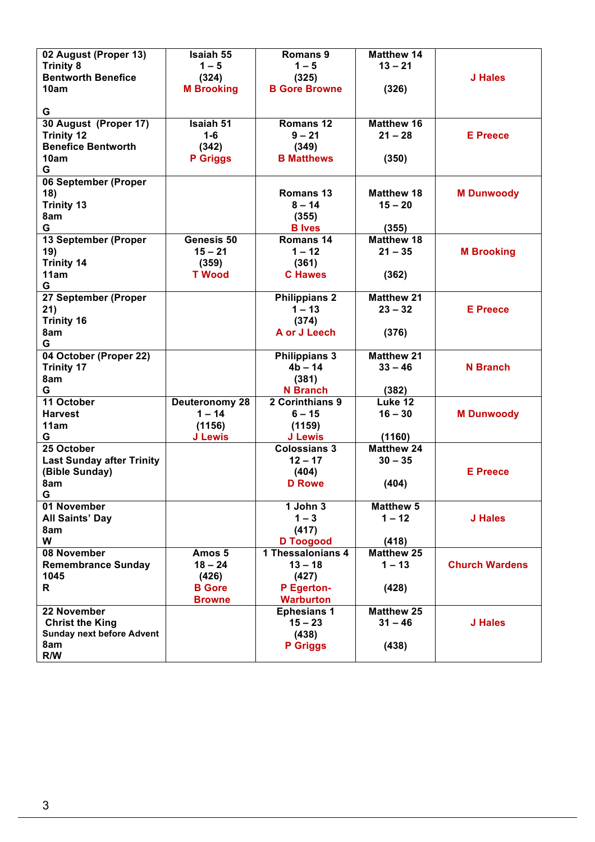| 02 August (Proper 13)            | Isaiah 55                  | Romans 9                          | <b>Matthew 14</b> |                       |
|----------------------------------|----------------------------|-----------------------------------|-------------------|-----------------------|
| <b>Trinity 8</b>                 | $1 - 5$                    | $1 - 5$                           | $13 - 21$         |                       |
| <b>Bentworth Benefice</b>        | (324)                      | (325)                             |                   | J Hales               |
| 10am                             | <b>M Brooking</b>          | <b>B Gore Browne</b>              | (326)             |                       |
|                                  |                            |                                   |                   |                       |
| G                                |                            |                                   |                   |                       |
| 30 August (Proper 17)            | <b>Isaiah 51</b>           | Romans 12                         | <b>Matthew 16</b> |                       |
| <b>Trinity 12</b>                | $1-6$                      | $9 - 21$                          | $21 - 28$         | <b>E</b> Preece       |
| <b>Benefice Bentworth</b>        | (342)                      | (349)                             |                   |                       |
| 10am                             | <b>P</b> Griggs            | <b>B</b> Matthews                 | (350)             |                       |
| G                                |                            |                                   |                   |                       |
| 06 September (Proper             |                            |                                   |                   |                       |
| 18)                              |                            | <b>Romans 13</b>                  | <b>Matthew 18</b> | <b>M Dunwoody</b>     |
| <b>Trinity 13</b>                |                            | $8 - 14$                          | $15 - 20$         |                       |
| 8am                              |                            | (355)                             |                   |                       |
| G                                |                            | <b>B</b> Ives                     | (355)             |                       |
| 13 September (Proper             | Genesis 50                 | Romans 14                         | <b>Matthew 18</b> |                       |
| 19)                              | $15 - 21$                  | $1 - 12$                          | $21 - 35$         | <b>M</b> Brooking     |
| <b>Trinity 14</b>                | (359)                      | (361)                             |                   |                       |
| 11am                             | <b>T</b> Wood              | <b>C</b> Hawes                    | (362)             |                       |
| G                                |                            |                                   |                   |                       |
| 27 September (Proper             |                            | <b>Philippians 2</b>              | <b>Matthew 21</b> |                       |
| 21)                              |                            | $1 - 13$                          | $23 - 32$         | <b>E</b> Preece       |
| <b>Trinity 16</b>                |                            | (374)                             |                   |                       |
| 8am<br>G                         |                            | A or J Leech                      | (376)             |                       |
|                                  |                            |                                   | <b>Matthew 21</b> |                       |
| 04 October (Proper 22)           |                            | <b>Philippians 3</b><br>$4b - 14$ | $33 - 46$         | <b>N</b> Branch       |
| <b>Trinity 17</b>                |                            |                                   |                   |                       |
| 8am<br>G                         |                            | (381)<br><b>N</b> Branch          |                   |                       |
| 11 October                       |                            | 2 Corinthians 9                   | (382)<br>Luke 12  |                       |
| <b>Harvest</b>                   | Deuteronomy 28<br>$1 - 14$ | $6 - 15$                          | $16 - 30$         | <b>M Dunwoody</b>     |
| 11am                             | (1156)                     | (1159)                            |                   |                       |
| G                                | <b>J Lewis</b>             | <b>J Lewis</b>                    | (1160)            |                       |
| 25 October                       |                            | <b>Colossians 3</b>               | <b>Matthew 24</b> |                       |
| <b>Last Sunday after Trinity</b> |                            | $12 - 17$                         | $30 - 35$         |                       |
| (Bible Sunday)                   |                            | (404)                             |                   | <b>E</b> Preece       |
| 8am                              |                            | <b>D</b> Rowe                     | (404)             |                       |
| G                                |                            |                                   |                   |                       |
| 01 November                      |                            | 1 John 3                          | <b>Matthew 5</b>  |                       |
| <b>All Saints' Day</b>           |                            | $1 - 3$                           | $1 - 12$          | J Hales               |
| 8am                              |                            | (417)                             |                   |                       |
| W                                |                            | <b>D</b> Toogood                  | (418)             |                       |
| 08 November                      | Amos 5                     | 1 Thessalonians 4                 | <b>Matthew 25</b> |                       |
| <b>Remembrance Sunday</b>        | $18 - 24$                  | $13 - 18$                         | $1 - 13$          | <b>Church Wardens</b> |
| 1045                             | (426)                      | (427)                             |                   |                       |
| R                                | <b>B</b> Gore              | P Egerton-                        | (428)             |                       |
|                                  | <b>Browne</b>              | <b>Warburton</b>                  |                   |                       |
| 22 November                      |                            | <b>Ephesians 1</b>                | <b>Matthew 25</b> |                       |
| <b>Christ the King</b>           |                            | $15 - 23$                         | $31 - 46$         | J Hales               |
| <b>Sunday next before Advent</b> |                            | (438)                             |                   |                       |
| 8am                              |                            | <b>P</b> Griggs                   | (438)             |                       |
| R/W                              |                            |                                   |                   |                       |